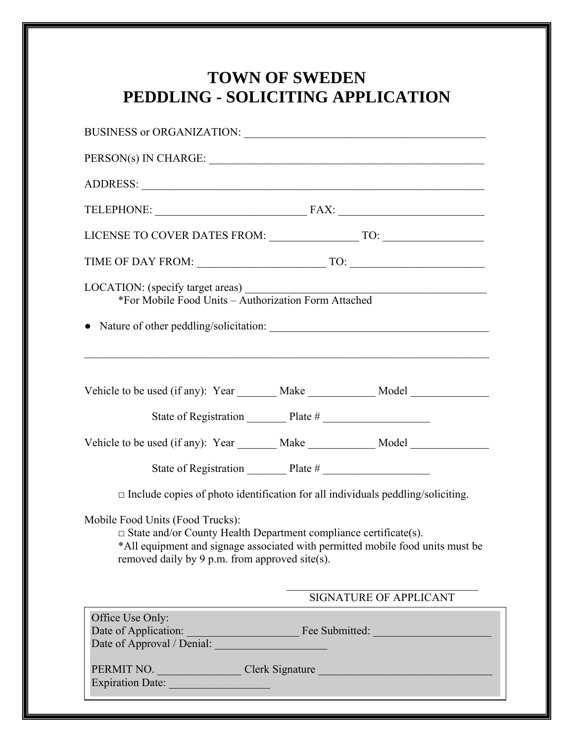## **TOWN OF SWEDEN PEDDLING - SOLICITING APPLICATION**

| BUSINESS or ORGANIZATION: University of AUSINESS or ORGANIZATION:                                                                                                                                                                               |  |  |  |
|-------------------------------------------------------------------------------------------------------------------------------------------------------------------------------------------------------------------------------------------------|--|--|--|
| PERSON(s) IN CHARGE:                                                                                                                                                                                                                            |  |  |  |
|                                                                                                                                                                                                                                                 |  |  |  |
|                                                                                                                                                                                                                                                 |  |  |  |
|                                                                                                                                                                                                                                                 |  |  |  |
|                                                                                                                                                                                                                                                 |  |  |  |
| LOCATION: (specify target areas)<br>*For Mobile Food Units – Authorization Form Attached                                                                                                                                                        |  |  |  |
| Vehicle to be used (if any): Year _______ Make ___________ Model _______________                                                                                                                                                                |  |  |  |
| Vehicle to be used (if any): Year _______ Make ___________ Model _______________                                                                                                                                                                |  |  |  |
| State of Registration Plate #                                                                                                                                                                                                                   |  |  |  |
| $\Box$ Include copies of photo identification for all individuals peddling/soliciting.                                                                                                                                                          |  |  |  |
| Mobile Food Units (Food Trucks):<br>$\Box$ State and/or County Health Department compliance certificate(s).<br>*All equipment and signage associated with permitted mobile food units must be<br>removed daily by 9 p.m. from approved site(s). |  |  |  |
| SIGNATURE OF APPLICANT                                                                                                                                                                                                                          |  |  |  |
| Office Use Only:                                                                                                                                                                                                                                |  |  |  |
| PERMIT NO. Clerk Signature<br>Expiration Date:                                                                                                                                                                                                  |  |  |  |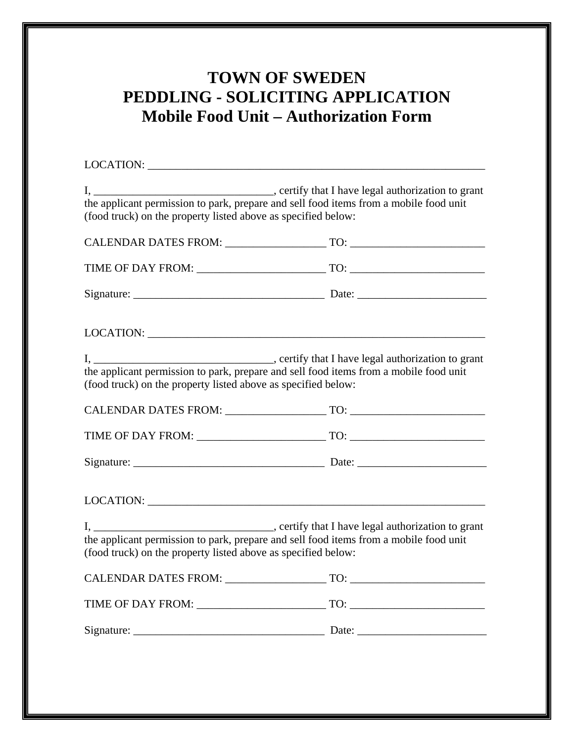## **TOWN OF SWEDEN PEDDLING - SOLICITING APPLICATION Mobile Food Unit – Authorization Form**

| $I, \underline{\hspace{2cm}}$<br>the applicant permission to park, prepare and sell food items from a mobile food unit<br>(food truck) on the property listed above as specified below: | certify that I have legal authorization to grant |
|-----------------------------------------------------------------------------------------------------------------------------------------------------------------------------------------|--------------------------------------------------|
|                                                                                                                                                                                         |                                                  |
|                                                                                                                                                                                         |                                                  |
|                                                                                                                                                                                         |                                                  |
|                                                                                                                                                                                         |                                                  |
| the applicant permission to park, prepare and sell food items from a mobile food unit<br>(food truck) on the property listed above as specified below:                                  |                                                  |
|                                                                                                                                                                                         |                                                  |
|                                                                                                                                                                                         |                                                  |
|                                                                                                                                                                                         |                                                  |
|                                                                                                                                                                                         |                                                  |
| the applicant permission to park, prepare and sell food items from a mobile food unit<br>(food truck) on the property listed above as specified below:                                  |                                                  |
| <b>CALENDAR DATES FROM:</b>                                                                                                                                                             | TO:                                              |
|                                                                                                                                                                                         |                                                  |
|                                                                                                                                                                                         |                                                  |
|                                                                                                                                                                                         |                                                  |